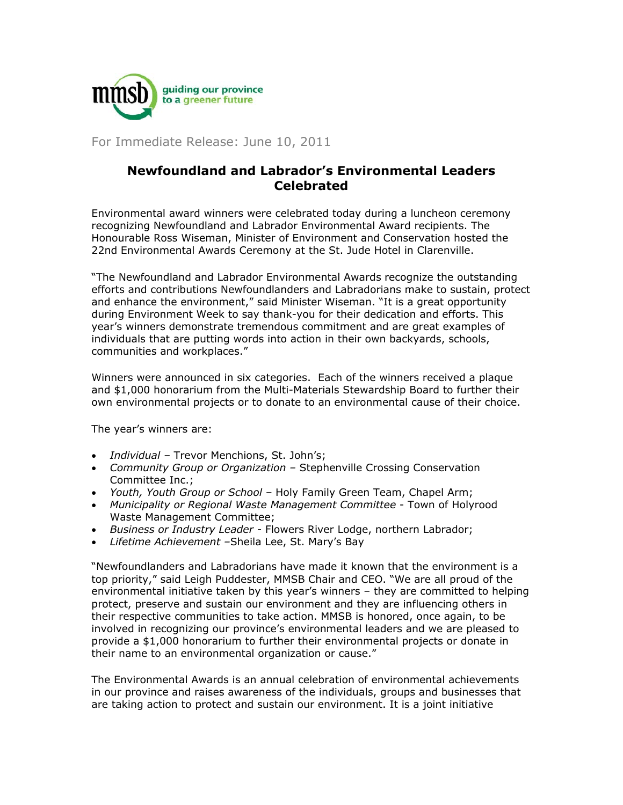

For Immediate Release: June 10, 2011

## **Newfoundland and Labrador's Environmental Leaders Celebrated**

Environmental award winners were celebrated today during a luncheon ceremony recognizing Newfoundland and Labrador Environmental Award recipients. The Honourable Ross Wiseman, Minister of Environment and Conservation hosted the 22nd Environmental Awards Ceremony at the St. Jude Hotel in Clarenville.

"The Newfoundland and Labrador Environmental Awards recognize the outstanding efforts and contributions Newfoundlanders and Labradorians make to sustain, protect and enhance the environment," said Minister Wiseman. "It is a great opportunity during Environment Week to say thank-you for their dedication and efforts. This year's winners demonstrate tremendous commitment and are great examples of individuals that are putting words into action in their own backyards, schools, communities and workplaces."

Winners were announced in six categories. Each of the winners received a plaque and \$1,000 honorarium from the Multi-Materials Stewardship Board to further their own environmental projects or to donate to an environmental cause of their choice.

The year's winners are:

- *Individual –* Trevor Menchions, St. John's;
- *Community Group or Organization* Stephenville Crossing Conservation Committee Inc.;
- *Youth, Youth Group or School –* Holy Family Green Team, Chapel Arm;
- *Municipality or Regional Waste Management Committee*  Town of Holyrood Waste Management Committee;
- *Business or Industry Leader -* Flowers River Lodge, northern Labrador;
- *Lifetime Achievement –*Sheila Lee, St. Mary's Bay

"Newfoundlanders and Labradorians have made it known that the environment is a top priority," said Leigh Puddester, MMSB Chair and CEO. "We are all proud of the environmental initiative taken by this year's winners – they are committed to helping protect, preserve and sustain our environment and they are influencing others in their respective communities to take action. MMSB is honored, once again, to be involved in recognizing our province's environmental leaders and we are pleased to provide a \$1,000 honorarium to further their environmental projects or donate in their name to an environmental organization or cause."

The Environmental Awards is an annual celebration of environmental achievements in our province and raises awareness of the individuals, groups and businesses that are taking action to protect and sustain our environment. It is a joint initiative